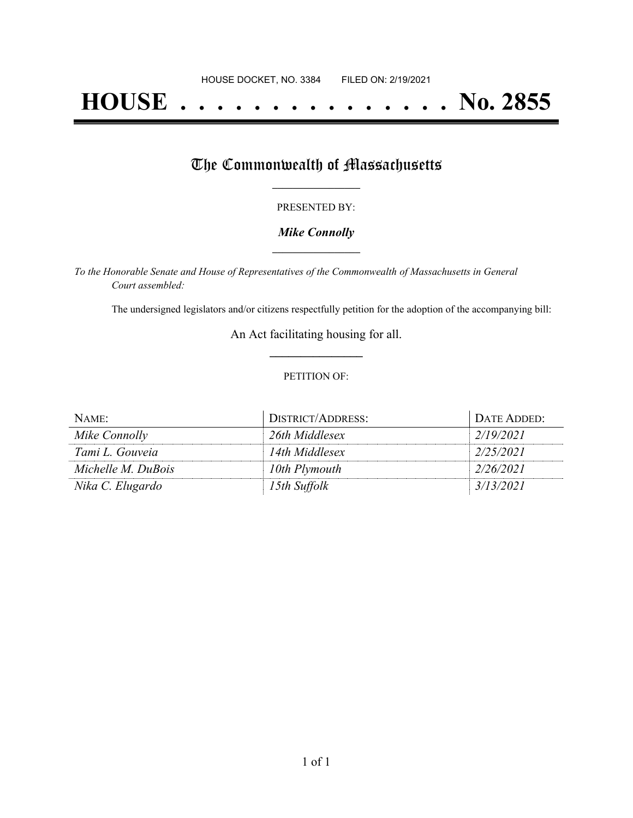# **HOUSE . . . . . . . . . . . . . . . No. 2855**

## The Commonwealth of Massachusetts

#### PRESENTED BY:

#### *Mike Connolly* **\_\_\_\_\_\_\_\_\_\_\_\_\_\_\_\_\_**

*To the Honorable Senate and House of Representatives of the Commonwealth of Massachusetts in General Court assembled:*

The undersigned legislators and/or citizens respectfully petition for the adoption of the accompanying bill:

An Act facilitating housing for all. **\_\_\_\_\_\_\_\_\_\_\_\_\_\_\_**

#### PETITION OF:

| NAME:              | DISTRICT/ADDRESS: | DATE ADDED: |
|--------------------|-------------------|-------------|
| Mike Connolly      | 26th Middlesex    | 2/19/2021   |
| Tami L. Gouveia    | 14th Middlesex    | 2/25/2021   |
| Michelle M. DuBois | 10th Plymouth     | 2/26/2021   |
| Nika C. Elugardo   | 15th Suffolk      | 3/13/2021   |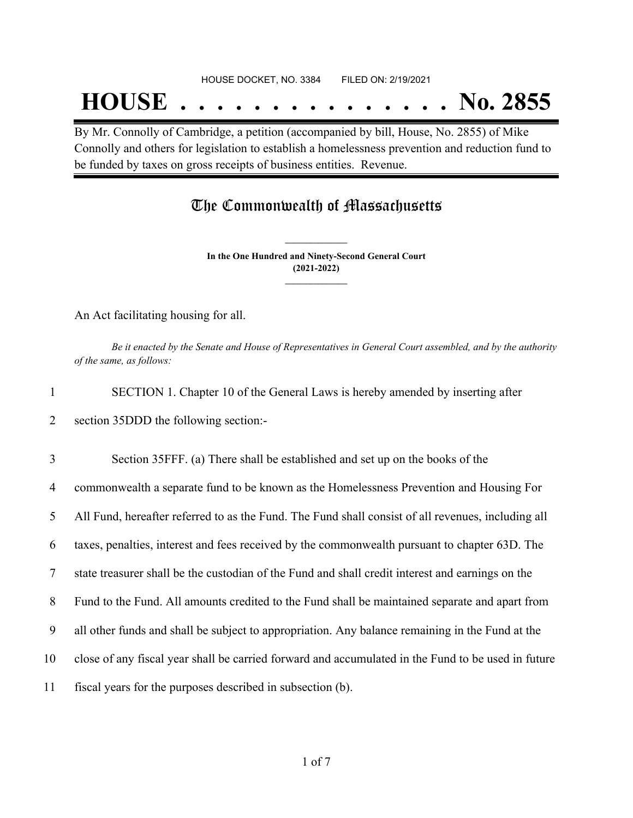## **HOUSE . . . . . . . . . . . . . . . No. 2855**

By Mr. Connolly of Cambridge, a petition (accompanied by bill, House, No. 2855) of Mike Connolly and others for legislation to establish a homelessness prevention and reduction fund to be funded by taxes on gross receipts of business entities. Revenue.

### The Commonwealth of Massachusetts

**In the One Hundred and Ninety-Second General Court (2021-2022) \_\_\_\_\_\_\_\_\_\_\_\_\_\_\_**

**\_\_\_\_\_\_\_\_\_\_\_\_\_\_\_**

An Act facilitating housing for all.

Be it enacted by the Senate and House of Representatives in General Court assembled, and by the authority *of the same, as follows:*

1 SECTION 1. Chapter 10 of the General Laws is hereby amended by inserting after 2 section 35DDD the following section:-

 Section 35FFF. (a) There shall be established and set up on the books of the commonwealth a separate fund to be known as the Homelessness Prevention and Housing For All Fund, hereafter referred to as the Fund. The Fund shall consist of all revenues, including all taxes, penalties, interest and fees received by the commonwealth pursuant to chapter 63D. The state treasurer shall be the custodian of the Fund and shall credit interest and earnings on the Fund to the Fund. All amounts credited to the Fund shall be maintained separate and apart from all other funds and shall be subject to appropriation. Any balance remaining in the Fund at the close of any fiscal year shall be carried forward and accumulated in the Fund to be used in future fiscal years for the purposes described in subsection (b).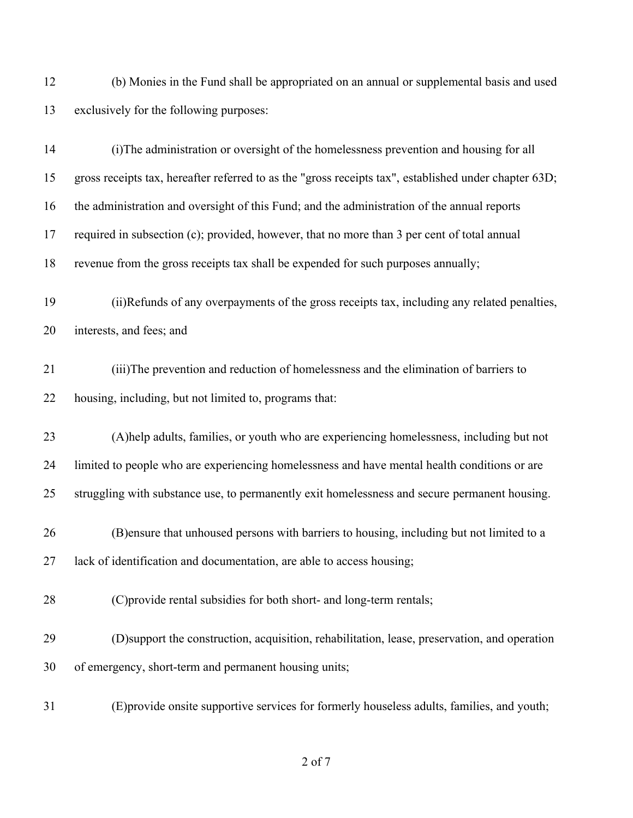(b) Monies in the Fund shall be appropriated on an annual or supplemental basis and used exclusively for the following purposes:

| 14 | (i) The administration or oversight of the homelessness prevention and housing for all                |
|----|-------------------------------------------------------------------------------------------------------|
| 15 | gross receipts tax, hereafter referred to as the "gross receipts tax", established under chapter 63D; |
| 16 | the administration and oversight of this Fund; and the administration of the annual reports           |
| 17 | required in subsection (c); provided, however, that no more than 3 per cent of total annual           |
| 18 | revenue from the gross receipts tax shall be expended for such purposes annually;                     |
| 19 | (ii)Refunds of any overpayments of the gross receipts tax, including any related penalties,           |
| 20 | interests, and fees; and                                                                              |
| 21 | (iii) The prevention and reduction of homelessness and the elimination of barriers to                 |
| 22 | housing, including, but not limited to, programs that:                                                |
| 23 | (A) help adults, families, or youth who are experiencing homelessness, including but not              |
| 24 | limited to people who are experiencing homelessness and have mental health conditions or are          |
| 25 | struggling with substance use, to permanently exit homelessness and secure permanent housing.         |
| 26 | (B) ensure that unhoused persons with barriers to housing, including but not limited to a             |
| 27 | lack of identification and documentation, are able to access housing;                                 |
| 28 | (C) provide rental subsidies for both short- and long-term rentals;                                   |
| 29 | (D) support the construction, acquisition, rehabilitation, lease, preservation, and operation         |
| 30 | of emergency, short-term and permanent housing units;                                                 |
| 31 | (E) provide onsite supportive services for formerly houseless adults, families, and youth;            |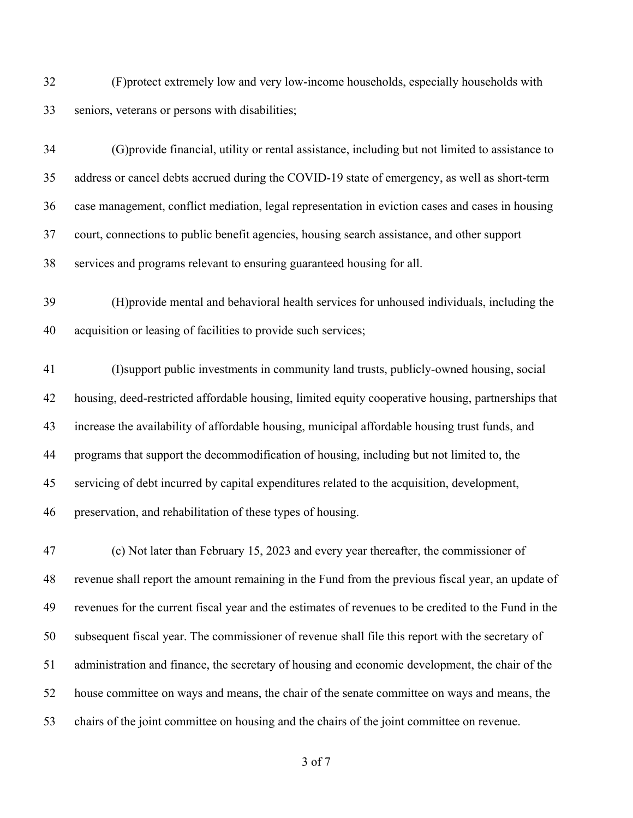(F)protect extremely low and very low-income households, especially households with seniors, veterans or persons with disabilities;

 (G)provide financial, utility or rental assistance, including but not limited to assistance to address or cancel debts accrued during the COVID-19 state of emergency, as well as short-term case management, conflict mediation, legal representation in eviction cases and cases in housing court, connections to public benefit agencies, housing search assistance, and other support services and programs relevant to ensuring guaranteed housing for all.

 (H)provide mental and behavioral health services for unhoused individuals, including the acquisition or leasing of facilities to provide such services;

 (I)support public investments in community land trusts, publicly-owned housing, social housing, deed-restricted affordable housing, limited equity cooperative housing, partnerships that increase the availability of affordable housing, municipal affordable housing trust funds, and programs that support the decommodification of housing, including but not limited to, the servicing of debt incurred by capital expenditures related to the acquisition, development, preservation, and rehabilitation of these types of housing.

 (c) Not later than February 15, 2023 and every year thereafter, the commissioner of revenue shall report the amount remaining in the Fund from the previous fiscal year, an update of revenues for the current fiscal year and the estimates of revenues to be credited to the Fund in the subsequent fiscal year. The commissioner of revenue shall file this report with the secretary of administration and finance, the secretary of housing and economic development, the chair of the house committee on ways and means, the chair of the senate committee on ways and means, the chairs of the joint committee on housing and the chairs of the joint committee on revenue.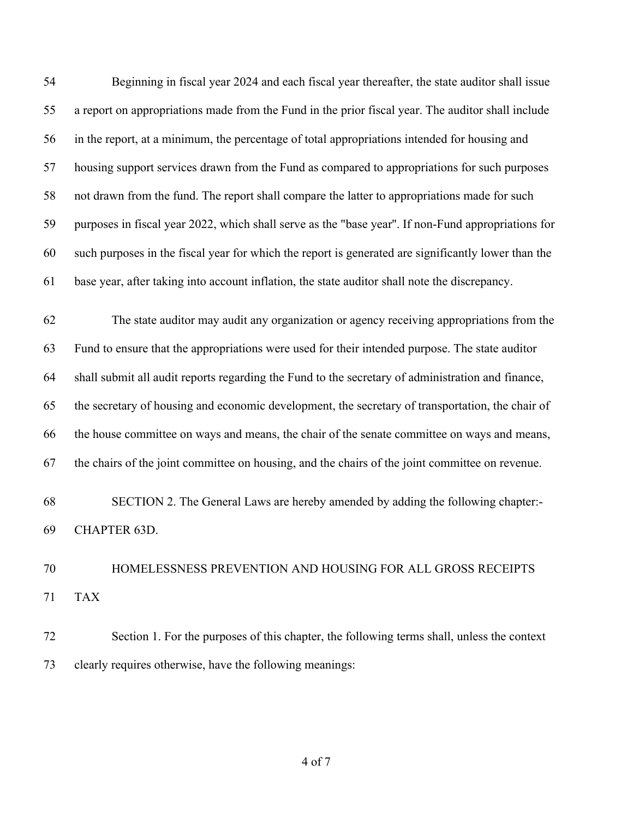Beginning in fiscal year 2024 and each fiscal year thereafter, the state auditor shall issue a report on appropriations made from the Fund in the prior fiscal year. The auditor shall include in the report, at a minimum, the percentage of total appropriations intended for housing and housing support services drawn from the Fund as compared to appropriations for such purposes not drawn from the fund. The report shall compare the latter to appropriations made for such purposes in fiscal year 2022, which shall serve as the "base year''. If non-Fund appropriations for such purposes in the fiscal year for which the report is generated are significantly lower than the base year, after taking into account inflation, the state auditor shall note the discrepancy.

 The state auditor may audit any organization or agency receiving appropriations from the Fund to ensure that the appropriations were used for their intended purpose. The state auditor shall submit all audit reports regarding the Fund to the secretary of administration and finance, the secretary of housing and economic development, the secretary of transportation, the chair of the house committee on ways and means, the chair of the senate committee on ways and means, the chairs of the joint committee on housing, and the chairs of the joint committee on revenue.

 SECTION 2. The General Laws are hereby amended by adding the following chapter:- CHAPTER 63D.

## HOMELESSNESS PREVENTION AND HOUSING FOR ALL GROSS RECEIPTS TAX

 Section 1. For the purposes of this chapter, the following terms shall, unless the context clearly requires otherwise, have the following meanings: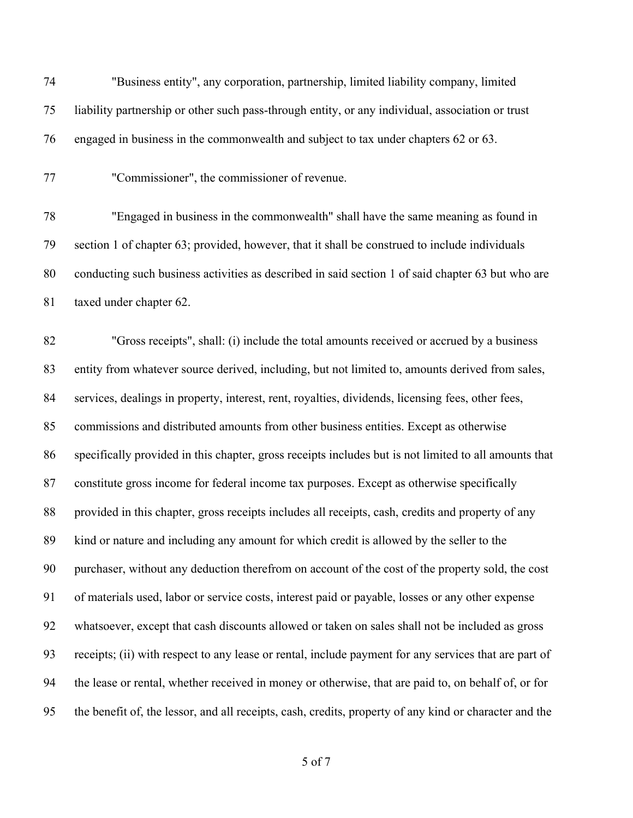| 74 | "Business entity", any corporation, partnership, limited liability company, limited                    |
|----|--------------------------------------------------------------------------------------------------------|
| 75 | liability partnership or other such pass-through entity, or any individual, association or trust       |
| 76 | engaged in business in the commonwealth and subject to tax under chapters 62 or 63.                    |
| 77 | "Commissioner", the commissioner of revenue.                                                           |
| 78 | "Engaged in business in the commonwealth" shall have the same meaning as found in                      |
| 79 | section 1 of chapter 63; provided, however, that it shall be construed to include individuals          |
| 80 | conducting such business activities as described in said section 1 of said chapter 63 but who are      |
| 81 | taxed under chapter 62.                                                                                |
| 82 | "Gross receipts", shall: (i) include the total amounts received or accrued by a business               |
| 83 | entity from whatever source derived, including, but not limited to, amounts derived from sales,        |
| 84 | services, dealings in property, interest, rent, royalties, dividends, licensing fees, other fees,      |
| 85 | commissions and distributed amounts from other business entities. Except as otherwise                  |
| 86 | specifically provided in this chapter, gross receipts includes but is not limited to all amounts that  |
| 87 | constitute gross income for federal income tax purposes. Except as otherwise specifically              |
| 88 | provided in this chapter, gross receipts includes all receipts, cash, credits and property of any      |
| 89 | kind or nature and including any amount for which credit is allowed by the seller to the               |
| 90 | purchaser, without any deduction therefrom on account of the cost of the property sold, the cost       |
| 91 | of materials used, labor or service costs, interest paid or payable, losses or any other expense       |
| 92 | whatsoever, except that cash discounts allowed or taken on sales shall not be included as gross        |
| 93 | receipts; (ii) with respect to any lease or rental, include payment for any services that are part of  |
| 94 | the lease or rental, whether received in money or otherwise, that are paid to, on behalf of, or for    |
| 95 | the benefit of, the lessor, and all receipts, cash, credits, property of any kind or character and the |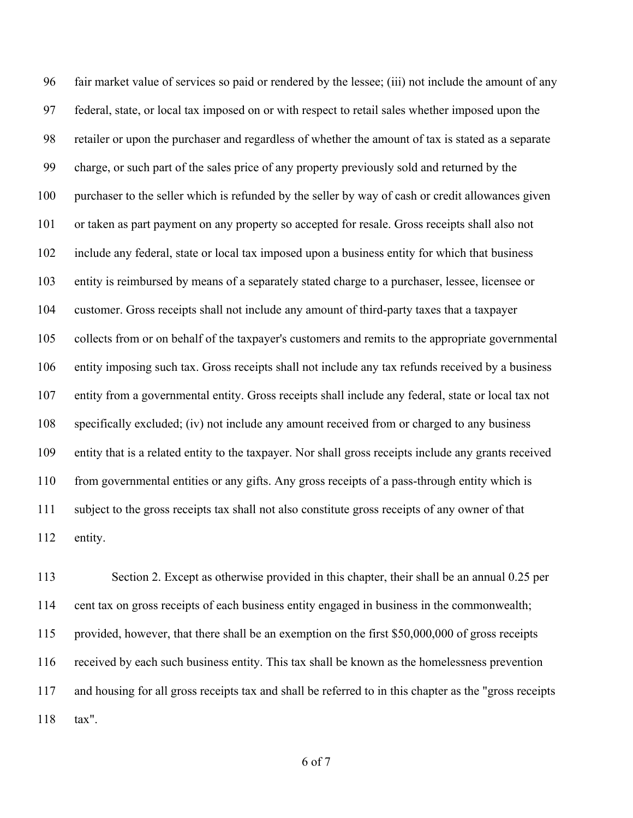fair market value of services so paid or rendered by the lessee; (iii) not include the amount of any federal, state, or local tax imposed on or with respect to retail sales whether imposed upon the retailer or upon the purchaser and regardless of whether the amount of tax is stated as a separate charge, or such part of the sales price of any property previously sold and returned by the purchaser to the seller which is refunded by the seller by way of cash or credit allowances given or taken as part payment on any property so accepted for resale. Gross receipts shall also not include any federal, state or local tax imposed upon a business entity for which that business entity is reimbursed by means of a separately stated charge to a purchaser, lessee, licensee or customer. Gross receipts shall not include any amount of third-party taxes that a taxpayer collects from or on behalf of the taxpayer's customers and remits to the appropriate governmental entity imposing such tax. Gross receipts shall not include any tax refunds received by a business entity from a governmental entity. Gross receipts shall include any federal, state or local tax not specifically excluded; (iv) not include any amount received from or charged to any business entity that is a related entity to the taxpayer. Nor shall gross receipts include any grants received from governmental entities or any gifts. Any gross receipts of a pass-through entity which is subject to the gross receipts tax shall not also constitute gross receipts of any owner of that entity.

 Section 2. Except as otherwise provided in this chapter, their shall be an annual 0.25 per cent tax on gross receipts of each business entity engaged in business in the commonwealth; provided, however, that there shall be an exemption on the first \$50,000,000 of gross receipts received by each such business entity. This tax shall be known as the homelessness prevention and housing for all gross receipts tax and shall be referred to in this chapter as the "gross receipts tax".